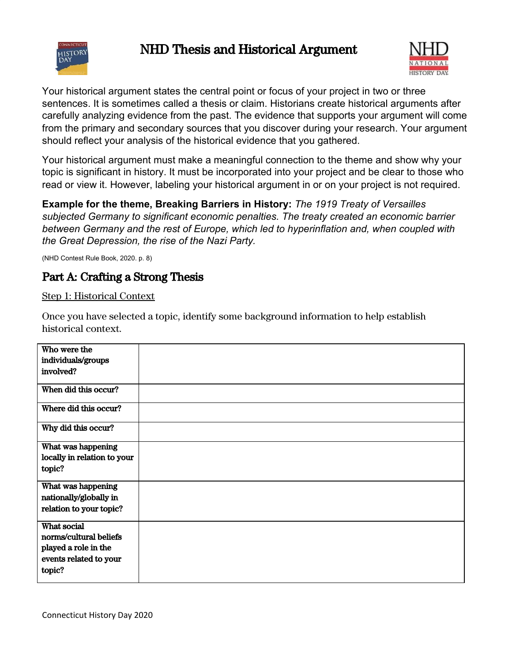

# NHD Thesis and Historical Argument



Your historical argument states the central point or focus of your project in two or three sentences. It is sometimes called a thesis or claim. Historians create historical arguments after carefully analyzing evidence from the past. The evidence that supports your argument will come from the primary and secondary sources that you discover during your research. Your argument should reflect your analysis of the historical evidence that you gathered.

Your historical argument must make a meaningful connection to the theme and show why your topic is significant in history. It must be incorporated into your project and be clear to those who read or view it. However, labeling your historical argument in or on your project is not required.

**Example for the theme, Breaking Barriers in History:** *The 1919 Treaty of Versailles subjected Germany to significant economic penalties. The treaty created an economic barrier between Germany and the rest of Europe, which led to hyperinflation and, when coupled with the Great Depression, the rise of the Nazi Party.*

(NHD Contest Rule Book, 2020. p. 8)

# Part A: Crafting a Strong Thesis

#### Step 1: Historical Context

Once you have selected a topic, identify some background information to help establish historical context.

| Who were the<br>individuals/groups<br>involved?                                                   |  |
|---------------------------------------------------------------------------------------------------|--|
| When did this occur?                                                                              |  |
| Where did this occur?                                                                             |  |
| Why did this occur?                                                                               |  |
| What was happening<br>locally in relation to your<br>topic?                                       |  |
| What was happening<br>nationally/globally in<br>relation to your topic?                           |  |
| What social<br>norms/cultural beliefs<br>played a role in the<br>events related to your<br>topic? |  |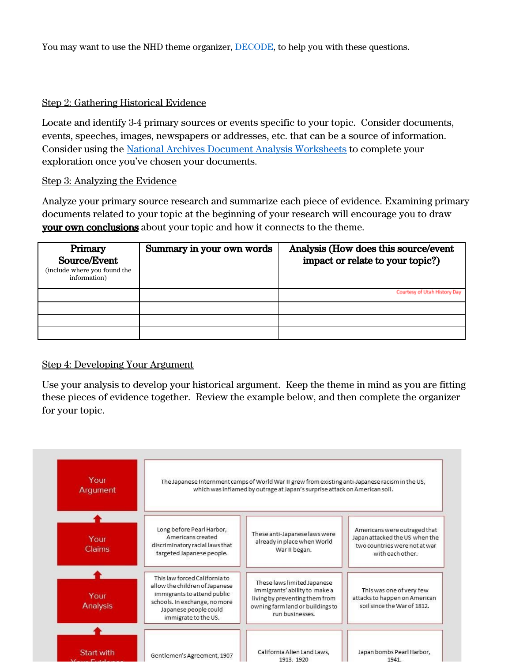You may want to use the NHD theme organizer, [DECODE](https://www.nhd.org/sites/default/files/DECODE%20Communication%20Graphic%20Organizer%20-%20Virtual%202020vfill_0.pdf), to help you with these questions.

#### Step 2: Gathering Historical Evidence

Locate and identify 3-4 primary sources or events specific to your topic. Consider documents, events, speeches, images, newspapers or addresses, etc. that can be a source of information. Consider using the National Archives [Document Analysis Worksheets](https://www.archives.gov/education/lessons/worksheets) to complete your exploration once you've chosen your documents.

#### Step 3: Analyzing the Evidence

Analyze your primary source research and summarize each piece of evidence. Examining primary documents related to your topic at the beginning of your research will encourage you to draw **your own conclusions** about your topic and how it connects to the theme.

| Primary<br>Source/Event<br>(include where you found the<br>information) | Summary in your own words | Analysis (How does this source/event<br>impact or relate to your topic?) |
|-------------------------------------------------------------------------|---------------------------|--------------------------------------------------------------------------|
|                                                                         |                           | Courtesy of Utah History Day                                             |
|                                                                         |                           |                                                                          |
|                                                                         |                           |                                                                          |
|                                                                         |                           |                                                                          |

#### Step 4: Developing Your Argument

Use your analysis to develop your historical argument. Keep the theme in mind as you are fitting these pieces of evidence together. Review the example below, and then complete the organizer for your topic.

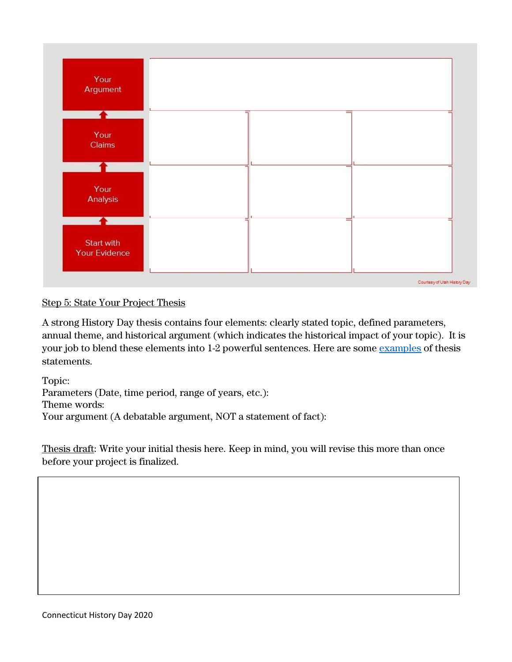

## Step 5: State Your Project Thesis

A strong History Day thesis contains four elements: clearly stated topic, defined parameters, annual theme, and historical argument (which indicates the historical impact of your topic). It is your job to blend these elements into 1-2 powerful sentences. Here are some [examples](https://www.mnhs.org/sites/default/files/historyday/teachers/curriculum-and-timeline/thesiscomparison2021.pdf) of thesis statements.

Topic: Parameters (Date, time period, range of years, etc.): Theme words: Your argument (A debatable argument, NOT a statement of fact):

Thesis draft: Write your initial thesis here. Keep in mind, you will revise this more than once before your project is finalized.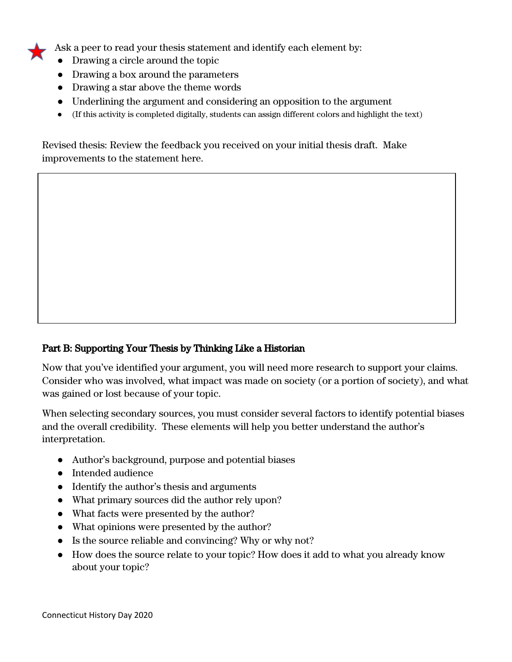Ask a peer to read your thesis statement and identify each element by:

- Drawing a circle around the topic
- Drawing a box around the parameters
- Drawing a star above the theme words
- Underlining the argument and considering an opposition to the argument
- (If this activity is completed digitally, students can assign different colors and highlight the text)

Revised thesis: Review the feedback you received on your initial thesis draft. Make improvements to the statement here.

## Part B: Supporting Your Thesis by Thinking Like a Historian

Now that you've identified your argument, you will need more research to support your claims. Consider who was involved, what impact was made on society (or a portion of society), and what was gained or lost because of your topic.

When selecting secondary sources, you must consider several factors to identify potential biases and the overall credibility. These elements will help you better understand the author's interpretation.

- Author's background, purpose and potential biases
- Intended audience
- Identify the author's thesis and arguments
- What primary sources did the author rely upon?
- What facts were presented by the author?
- What opinions were presented by the author?
- Is the source reliable and convincing? Why or why not?
- How does the source relate to your topic? How does it add to what you already know about your topic?